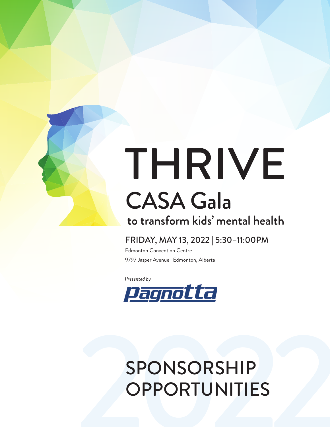

# THRIVE **CASA Gala** to transform kids' mental health

# FRIDAY, MAY 13, 2022 | 5:30–11:00PM

Edmonton Convention Centre 9797 Jasper Avenue | Edmonton, Alberta

Presented by



# SPONSORSHIP<br>OPPORTUNITIES OPPORTUNITIES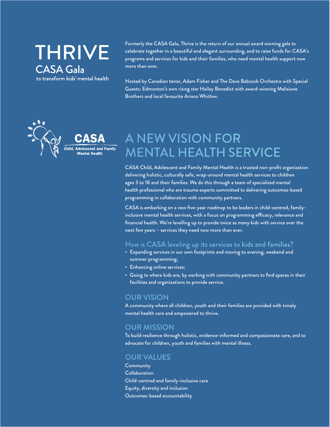**THRIVE CASA Gala** to transform kids' mental health

Formerly the CASA Gala, Thrive is the return of our annual award winning gala to celebrate together in a beautiful and elegant surrounding, and to raise funds for CASA's programs and services for kids and their families, who need mental health support now more than ever.

Hosted by Canadian tenor, Adam Fisher and The Dave Babcock Orchestra with Special Guests: Edmonton's own rising star Hailey Benedict with award-winning Melisizwe Brothers and local favourite Ariana Whitlow.



# A NEW VISION FOR MENTAL HEALTH SERVICE

CASA Child, Adolescent and Family Mental Health is a trusted non-profit organization delivering holistic, culturally safe, wrap-around mental health services to children ages 3 to 18 and their families. We do this through a team of specialized mental health professional who are trauma experts committed to delivering outcomes-based programming in collaboration with community partners.

CASA is embarking on a new five-year roadmap to be leaders in child-centred, familyinclusive mental health services, with a focus on programming efficacy, relevance and financial health. We're levelling up to provide twice as many kids with service over the next few years – services they need now more than ever.

### How is CASA leveling up its services to kids and families?

- Expanding services in our own footprints and moving to evening, weekend and summer programming;
- Enhancing online services;
- Going to where kids are, by working with community partners to find spaces in their facilities and organizations to provide service.

### OUR VISION

A community where all children, youth and their families are provided with timely mental health care and empowered to thrive.

### OUR MISSION

To build resilience through holistic, evidence-informed and compassionate care, and to advocate for children, youth and families with mental illness.

### OUR VALUES

**Community** Collaboration Child-centred and family-inclusive care Equity, diversity and inclusion Outcomes-based accountability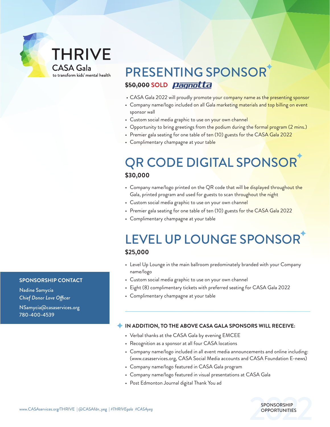# **THRIVE** CASA Gala

to transform kids' mental health

# PRESENTING SPONSOR **\$50,000 SOLD**

- CASA Gala 2022 will proudly promote your company name as the presenting sponsor
- Company name/logo included on all Gala marketing materials and top billing on event sponsor wall
- Custom social media graphic to use on your own channel
- Opportunity to bring greetings from the podium during the formal program (2 mins.)
- Premier gala seating for one table of ten (10) guests for the CASA Gala 2022
- Complimentary champagne at your table

# QR CODE DIGITAL SPONSOR **\$30,000**

- Company name/logo printed on the QR code that will be displayed throughout the Gala, printed program and used for guests to scan throughout the night
- Custom social media graphic to use on your own channel
- Premier gala seating for one table of ten (10) guests for the CASA Gala 2022
- Complimentary champagne at your table

# LEVEL UP LOUNGE SPONSOR **\$25,000**

- Level Up Lounge in the main ballroom predominately branded with your Company name/logo
- Custom social media graphic to use on your own channel
- Eight (8) complimentary tickets with preferred seating for CASA Gala 2022
- Complimentary champagne at your table

### **IN ADDITION, TO THE ABOVE CASA GALA SPONSORS WILL RECEIVE:**

- Verbal thanks at the CASA Gala by evening EMCEE
- Recognition as a sponsor at all four CASA locations
- Company name/logo included in all event media announcements and online including: (www.casaservices.org, CASA Social Media accounts and CASA Foundation E-news)
- Company name/logo featured in CASA Gala program
- Company name/logo featured in visual presentations at CASA Gala
- Post Edmonton Journal digital Thank You ad

### **SPONSORSHIP CONTACT**

Nadine Samycia *Chief Donor Love Officer*

NSamycia@casaservices.org 780-400-4539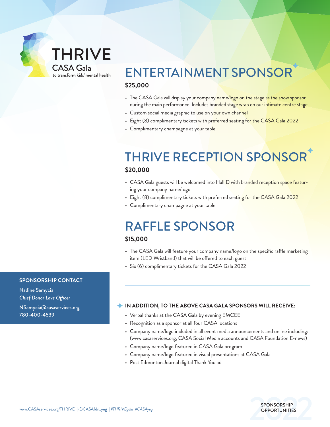# **THRIVE** CASA Gala

to transform kids' mental health

# ENTERTAINMENT SPONSOR **\$25,000**

- The CASA Gala will display your company name/logo on the stage as the show sponsor during the main performance. Includes branded stage wrap on our intimate centre stage
- Custom social media graphic to use on your own channel
- Eight (8) complimentary tickets with preferred seating for the CASA Gala 2022
- Complimentary champagne at your table

# THRIVE RECEPTION SPONSOR

### **\$20,000**

- CASA Gala guests will be welcomed into Hall D with branded reception space featuring your company name/logo
- Eight (8) complimentary tickets with preferred seating for the CASA Gala 2022
- Complimentary champagne at your table

# RAFFLE SPONSOR

### **\$15,000**

- The CASA Gala will feature your company name/logo on the specific raffle marketing item (LED Wristband) that will be offered to each guest
- Six (6) complimentary tickets for the CASA Gala 2022

### **SPONSORSHIP CONTACT**

Nadine Samycia *Chief Donor Love Officer*

NSamycia@casaservices.org 780-400-4539

### **IN ADDITION, TO THE ABOVE CASA GALA SPONSORS WILL RECEIVE:**

- Verbal thanks at the CASA Gala by evening EMCEE
- Recognition as a sponsor at all four CASA locations
- Company name/logo included in all event media announcements and online including: (www.casaservices.org, CASA Social Media accounts and CASA Foundation E-news)
- Company name/logo featured in CASA Gala program
- Company name/logo featured in visual presentations at CASA Gala
- Post Edmonton Journal digital Thank You ad